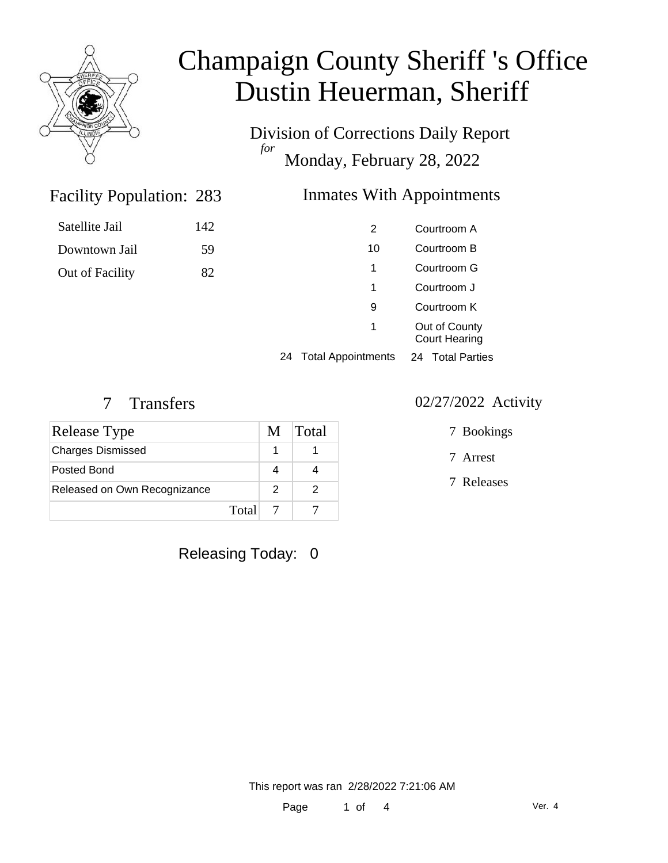

Division of Corrections Daily Report *for* Monday, February 28, 2022

### 283 Inmates With Appointments

| <b>Facility Population: 283</b> |  |
|---------------------------------|--|
|                                 |  |

Satellite Jail 142 Downtown Jail 59

Out of Facility 82

|    | 2                         | Courtroom A                           |  |
|----|---------------------------|---------------------------------------|--|
|    | 10                        | Courtroom B                           |  |
|    | 1                         | Courtroom G                           |  |
|    | 1                         | Courtroom J                           |  |
|    | 9                         | Courtroom K                           |  |
|    | 1                         | Out of County<br><b>Court Hearing</b> |  |
| 24 | <b>Total Appointments</b> | Total Parties<br>24                   |  |
|    |                           |                                       |  |

| Release Type                 | M     | Total |
|------------------------------|-------|-------|
| <b>Charges Dismissed</b>     |       |       |
| Posted Bond                  |       |       |
| Released on Own Recognizance | 2     |       |
|                              | Total |       |

Releasing Today: 0

#### 7 Transfers 02/27/2022 Activity

7 Bookings

7 Arrest

7 Releases

This report was ran 2/28/2022 7:21:06 AM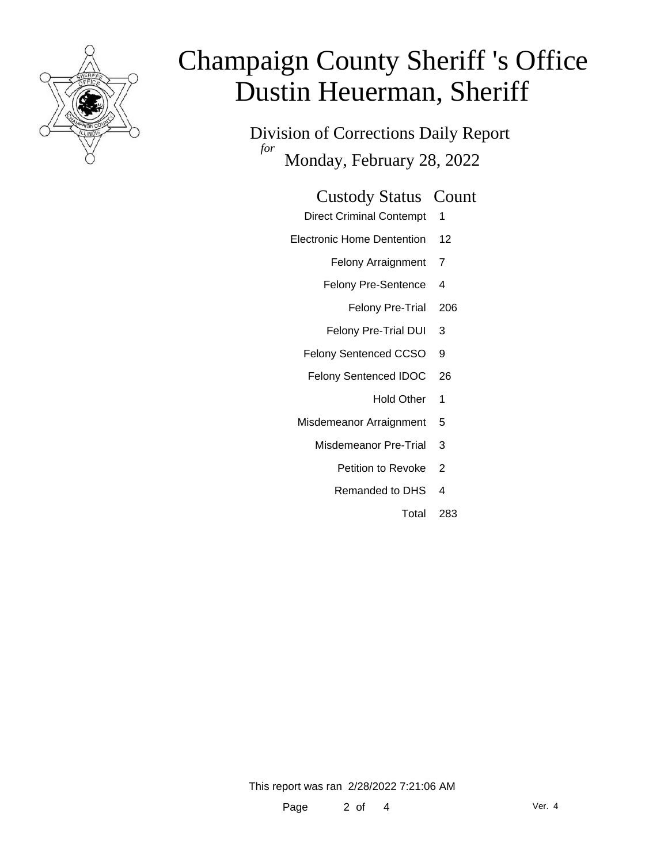

Division of Corrections Daily Report *for* Monday, February 28, 2022

### Custody Status Count

- Direct Criminal Contempt 1
- Electronic Home Dentention 12
	- Felony Arraignment 7
	- Felony Pre-Sentence 4
		- Felony Pre-Trial 206
	- Felony Pre-Trial DUI 3
	- Felony Sentenced CCSO 9
	- Felony Sentenced IDOC 26
		- Hold Other 1
	- Misdemeanor Arraignment 5
		- Misdemeanor Pre-Trial 3
			- Petition to Revoke 2
			- Remanded to DHS 4
				- Total 283

This report was ran 2/28/2022 7:21:06 AM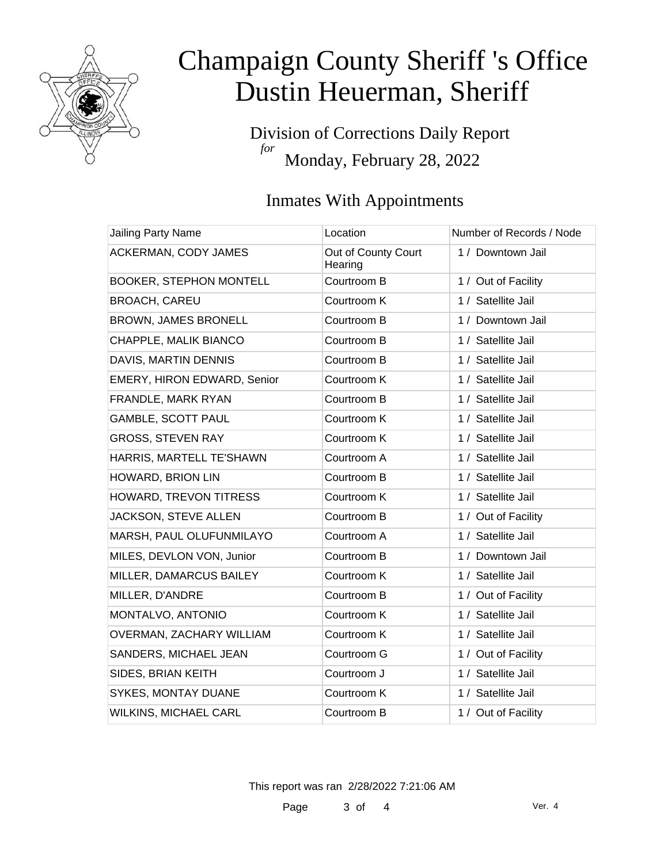

Division of Corrections Daily Report *for* Monday, February 28, 2022

### Inmates With Appointments

| Jailing Party Name             | Location                       | Number of Records / Node |
|--------------------------------|--------------------------------|--------------------------|
| ACKERMAN, CODY JAMES           | Out of County Court<br>Hearing | 1 / Downtown Jail        |
| <b>BOOKER, STEPHON MONTELL</b> | Courtroom B                    | 1 / Out of Facility      |
| <b>BROACH, CAREU</b>           | Courtroom K                    | 1 / Satellite Jail       |
| BROWN, JAMES BRONELL           | Courtroom B                    | 1 / Downtown Jail        |
| CHAPPLE, MALIK BIANCO          | Courtroom B                    | 1 / Satellite Jail       |
| DAVIS, MARTIN DENNIS           | Courtroom B                    | 1 / Satellite Jail       |
| EMERY, HIRON EDWARD, Senior    | Courtroom K                    | 1 / Satellite Jail       |
| FRANDLE, MARK RYAN             | Courtroom B                    | 1 / Satellite Jail       |
| <b>GAMBLE, SCOTT PAUL</b>      | Courtroom K                    | 1 / Satellite Jail       |
| <b>GROSS, STEVEN RAY</b>       | Courtroom K                    | 1 / Satellite Jail       |
| HARRIS, MARTELL TE'SHAWN       | Courtroom A                    | 1 / Satellite Jail       |
| HOWARD, BRION LIN              | Courtroom B                    | 1 / Satellite Jail       |
| HOWARD, TREVON TITRESS         | Courtroom K                    | 1 / Satellite Jail       |
| JACKSON, STEVE ALLEN           | Courtroom B                    | 1 / Out of Facility      |
| MARSH, PAUL OLUFUNMILAYO       | Courtroom A                    | 1 / Satellite Jail       |
| MILES, DEVLON VON, Junior      | Courtroom B                    | 1 / Downtown Jail        |
| MILLER, DAMARCUS BAILEY        | Courtroom K                    | 1 / Satellite Jail       |
| MILLER, D'ANDRE                | Courtroom B                    | 1 / Out of Facility      |
| MONTALVO, ANTONIO              | Courtroom K                    | 1 / Satellite Jail       |
| OVERMAN, ZACHARY WILLIAM       | Courtroom K                    | 1 / Satellite Jail       |
| SANDERS, MICHAEL JEAN          | Courtroom G                    | 1 / Out of Facility      |
| SIDES, BRIAN KEITH             | Courtroom J                    | 1 / Satellite Jail       |
| SYKES, MONTAY DUANE            | Courtroom K                    | 1 / Satellite Jail       |
| <b>WILKINS, MICHAEL CARL</b>   | Courtroom B                    | 1 / Out of Facility      |